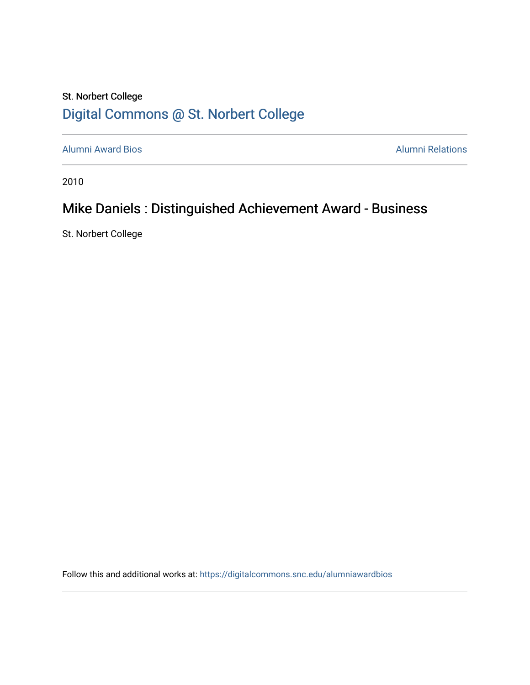## St. Norbert College [Digital Commons @ St. Norbert College](https://digitalcommons.snc.edu/)

[Alumni Award Bios](https://digitalcommons.snc.edu/alumniawardbios) **Alumni Relations** Alumni Relations

2010

## Mike Daniels : Distinguished Achievement Award - Business

St. Norbert College

Follow this and additional works at: [https://digitalcommons.snc.edu/alumniawardbios](https://digitalcommons.snc.edu/alumniawardbios?utm_source=digitalcommons.snc.edu%2Falumniawardbios%2F44&utm_medium=PDF&utm_campaign=PDFCoverPages)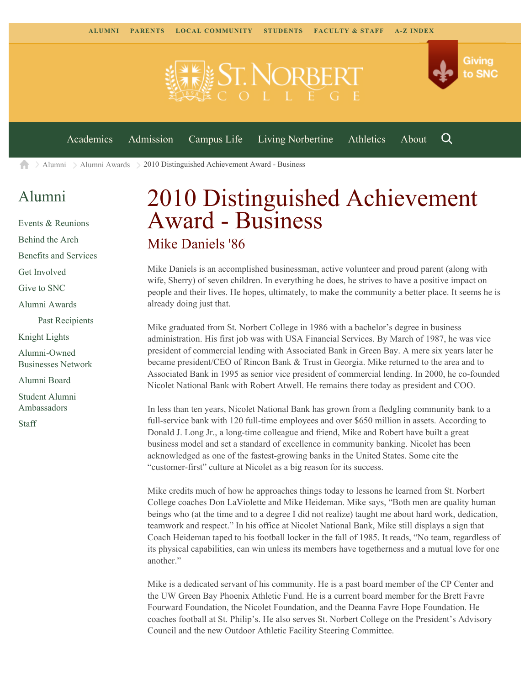

[Alumni](https://www.snc.edu/alumni/) [Alumni Awards](https://www.snc.edu/alumni/awards/) 2010 Distinguished Achievement Award - Business A

## [Alumni](https://www.snc.edu/alumni/index.html)

[Events & Reunions](https://www.snc.edu/alumni/event/index.html) [Behind the Arch](https://www.snc.edu/alumni/event/behindthearch/) [Benefits and Services](https://www.snc.edu/alumni/benefits.html) [Get Involved](https://www.snc.edu/alumni/getinvolved.html) [Give to SNC](http://giving.snc.edu/) [Alumni Awards](https://www.snc.edu/alumni/awards/index.html) [Past Recipients](https://www.snc.edu/alumni/awards/recipients.html) [Knight Lights](https://www.snc.edu/alumni/knightlights/index.html) [Alumni-Owned](https://www.snc.edu/alumni/directory/index.html) [Businesses Network](https://www.snc.edu/alumni/directory/index.html) [Alumni Board](https://www.snc.edu/alumni/alumniboard.html) [Student Alumni](https://www.snc.edu/alumni/saa.html) [Ambassadors](https://www.snc.edu/alumni/saa.html) [Staff](https://www.snc.edu/alumni/contactus.html)

## 2010 Distinguished Achievement Award - Business Mike Daniels '86

Mike Daniels is an accomplished businessman, active volunteer and proud parent (along with wife, Sherry) of seven children. In everything he does, he strives to have a positive impact on people and their lives. He hopes, ultimately, to make the community a better place. It seems he is already doing just that.

Mike graduated from St. Norbert College in 1986 with a bachelor's degree in business administration. His first job was with USA Financial Services. By March of 1987, he was vice president of commercial lending with Associated Bank in Green Bay. A mere six years later he became president/CEO of Rincon Bank & Trust in Georgia. Mike returned to the area and to Associated Bank in 1995 as senior vice president of commercial lending. In 2000, he co-founded Nicolet National Bank with Robert Atwell. He remains there today as president and COO.

In less than ten years, Nicolet National Bank has grown from a fledgling community bank to a full-service bank with 120 full-time employees and over \$650 million in assets. According to Donald J. Long Jr., a long-time colleague and friend, Mike and Robert have built a great business model and set a standard of excellence in community banking. Nicolet has been acknowledged as one of the fastest-growing banks in the United States. Some cite the "customer-first" culture at Nicolet as a big reason for its success.

Mike credits much of how he approaches things today to lessons he learned from St. Norbert College coaches Don LaViolette and Mike Heideman. Mike says, "Both men are quality human beings who (at the time and to a degree I did not realize) taught me about hard work, dedication, teamwork and respect." In his office at Nicolet National Bank, Mike still displays a sign that Coach Heideman taped to his football locker in the fall of 1985. It reads, "No team, regardless of its physical capabilities, can win unless its members have togetherness and a mutual love for one another."

Mike is a dedicated servant of his community. He is a past board member of the CP Center and the UW Green Bay Phoenix Athletic Fund. He is a current board member for the Brett Favre Fourward Foundation, the Nicolet Foundation, and the Deanna Favre Hope Foundation. He coaches football at St. Philip's. He also serves St. Norbert College on the President's Advisory Council and the new Outdoor Athletic Facility Steering Committee.